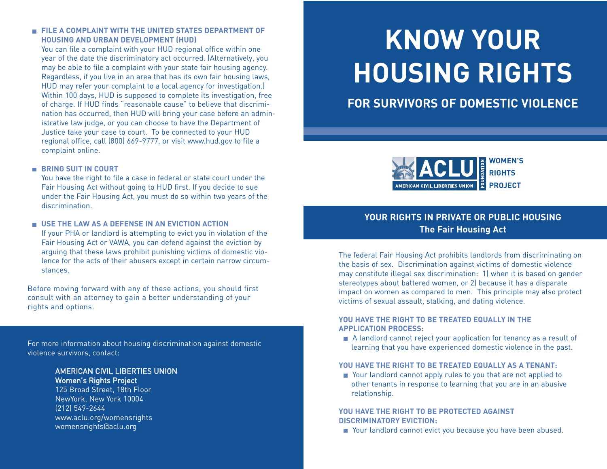#### **FILE A COMPLAINT WITH THE UNITED STATES DEPARTMENT OF HOUSING AND URBAN DEVELOPMENT (HUD)**

You can file a complaint with your HUD regional office within one year of the date the discriminatory act occurred. (Alternatively, you may be able to file a complaint with your state fair housing agency. Regardless, if you live in an area that has its own fair housing laws, HUD may refer your complaint to a local agency for investigation.) Within 100 days, HUD is supposed to complete its investigation, free of charge. If HUD finds "reasonable cause" to believe that discrimination has occurred, then HUD will bring your case before an administrative law judge, or you can choose to have the Department of Justice take your case to court. To be connected to your HUD regional office, call (800) 669-9777, or visit www.hud.gov to file a complaint online.

#### **BRING SUIT IN COURT**

You have the right to file a case in federal or state court under the Fair Housing Act without going to HUD first. If you decide to sue under the Fair Housing Act, you must do so within two years of the discrimination.

#### **USE THE LAW AS A DEFENSE IN AN EVICTION ACTION**

If your PHA or landlord is attempting to evict you in violation of the Fair Housing Act or VAWA, you can defend against the eviction by arguing that these laws prohibit punishing victims of domestic violence for the acts of their abusers except in certain narrow circumstances.

Before moving forward with any of these actions, you should first consult with an attorney to gain a better understanding of your rights and options.

For more information about housing discrimination against domestic violence survivors, contact:

#### AMERICAN CIVIL LIBERTIES UNION Women's Rights Project

125 Broad Street, 18th Floor NewYork, New York 10004 (212) 549-2644 www.aclu.org/womensrights womensrights@aclu.org

# **KNOW YOUR HOUSING RIGHTS**

# **FOR SURVIVORS OF DOMESTIC VIOLENCE**



# **YOUR RIGHTS IN PRIVATE OR PUBLIC HOUSING The Fair Housing Act**

The federal Fair Housing Act prohibits landlords from discriminating on the basis of sex. Discrimination against victims of domestic violence may constitute illegal sex discrimination: 1) when it is based on gender stereotypes about battered women, or 2) because it has a disparate impact on women as compared to men. This principle may also protect victims of sexual assault, stalking, and dating violence.

#### **YOU HAVE THE RIGHT TO BE TREATED EQUALLY IN THE APPLICATION PROCESS:**

A landlord cannot reject your application for tenancy as a result of learning that you have experienced domestic violence in the past.

### **YOU HAVE THE RIGHT TO BE TREATED EQUALLY AS A TENANT:**

■ Your landlord cannot apply rules to you that are not applied to other tenants in response to learning that you are in an abusive relationship.

#### **YOU HAVE THE RIGHT TO BE PROTECTED AGAINST DISCRIMINATORY EVICTION:**

■ Your landlord cannot evict you because you have been abused.